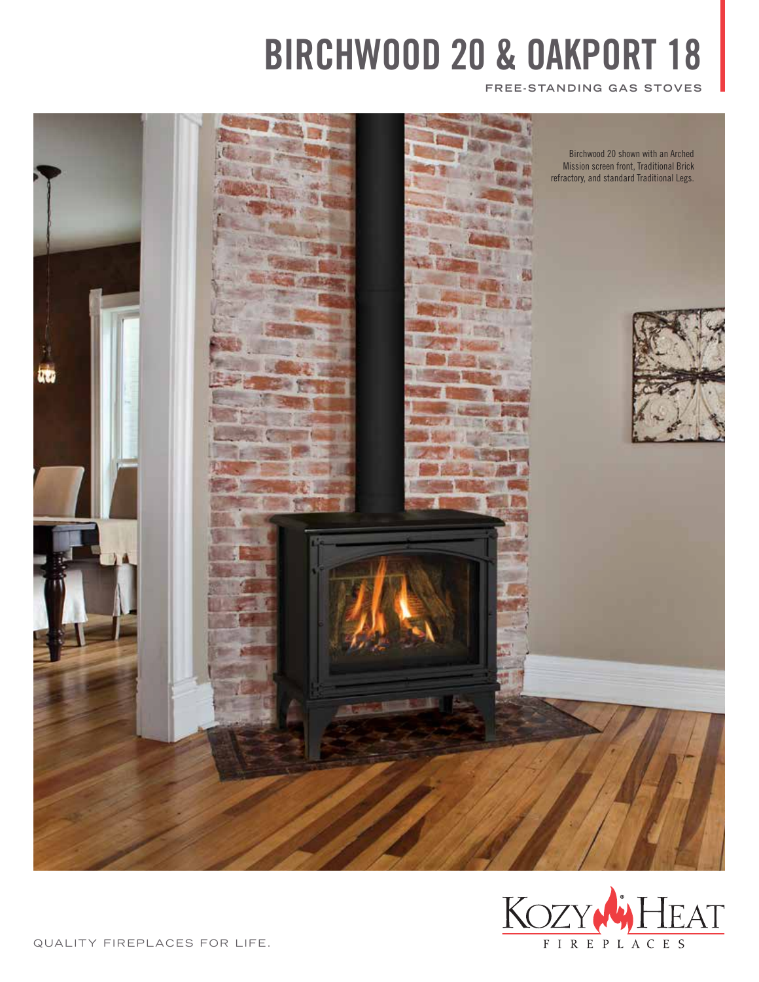# **BIRCHWOOD 20 & OAKPORT 18**

**FREE -STAND ING GAS STOVES**



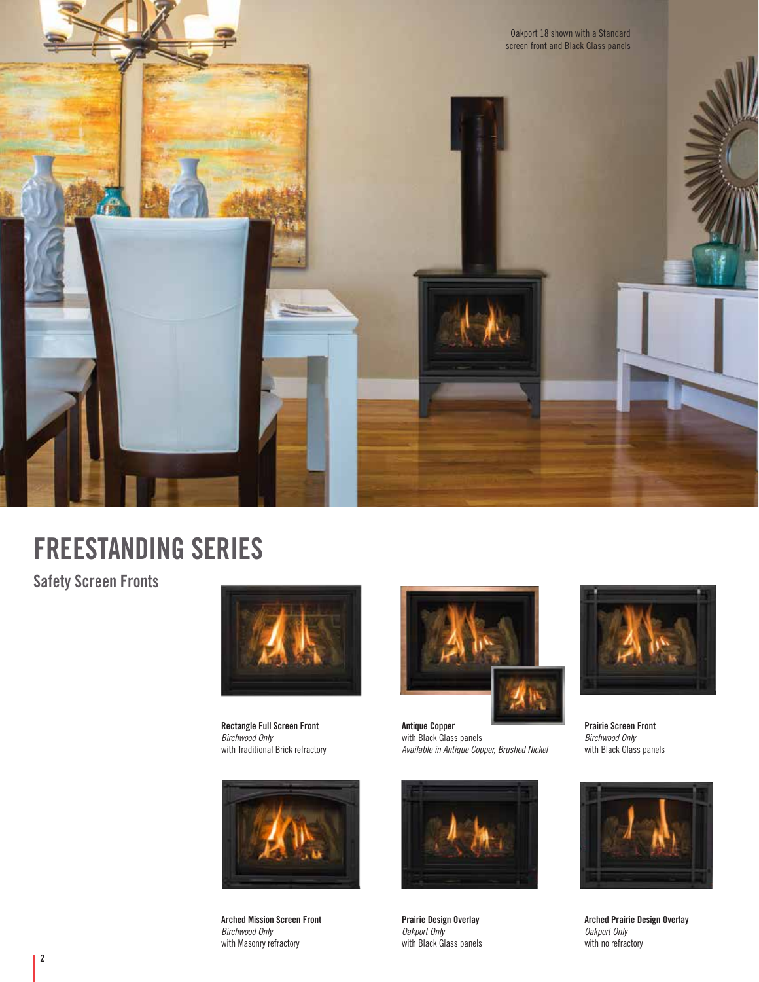

# **FREESTANDING SERIES**

# **Safety Screen Fronts**



**Rectangle Full Screen Front**  *Birchwood Only* with Traditional Brick refractory



**Arched Mission Screen Front**  *Birchwood Only* with Masonry refractory



**Antique Copper**  with Black Glass panels *Available in Antique Copper, Brushed Nickel*



**Prairie Design Overlay**  *Oakport Only* with Black Glass panels



**Prairie Screen Front**  *Birchwood Only* with Black Glass panels



**Arched Prairie Design Overlay**  *Oakport Only* with no refractory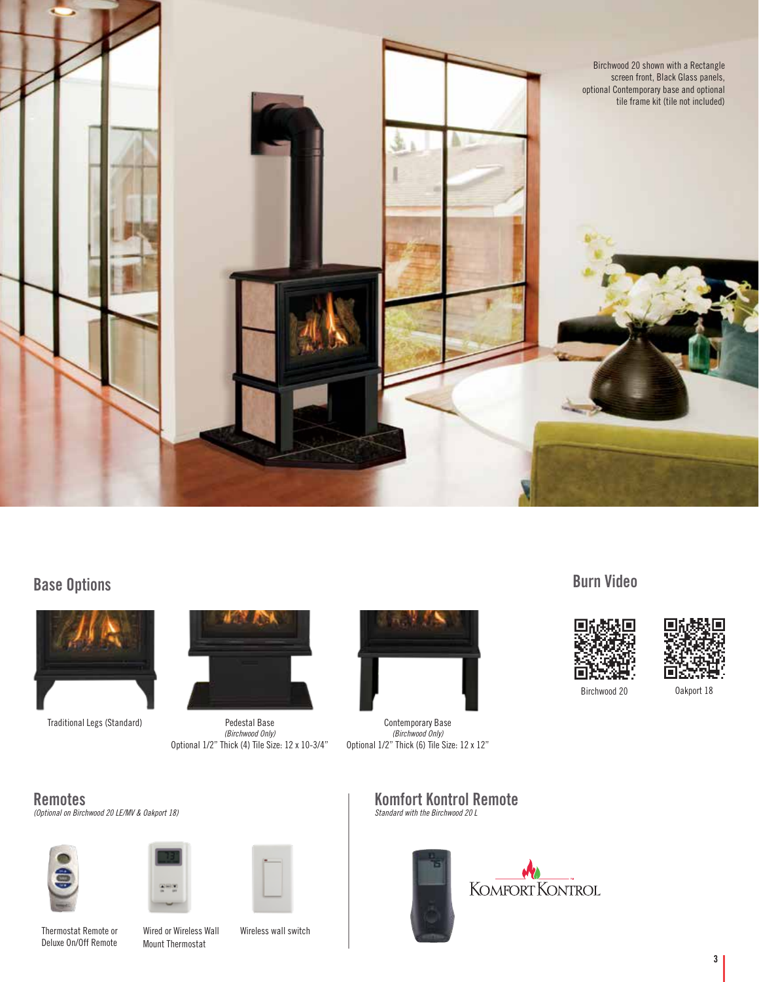

# **Base Options**



Traditional Legs (Standard)



Pedestal Base *(Birchwood Only)* Optional 1/2" Thick (4) Tile Size: 12 x 10-3/4"



*(Birchwood Only)* Optional 1/2" Thick (6) Tile Size: 12 x 12"

# **Komfort Kontrol Remote** *Standard with the Birchwood 20 L*





## **Burn Video**





Birchwood 20 Oakport 18

**Remotes** *(Optional on Birchwood 20 LE/MV & Oakport 18)*



Thermostat Remote or Deluxe On/Off Remote



Wired or Wireless Wall Mount Thermostat

Wireless wall switch